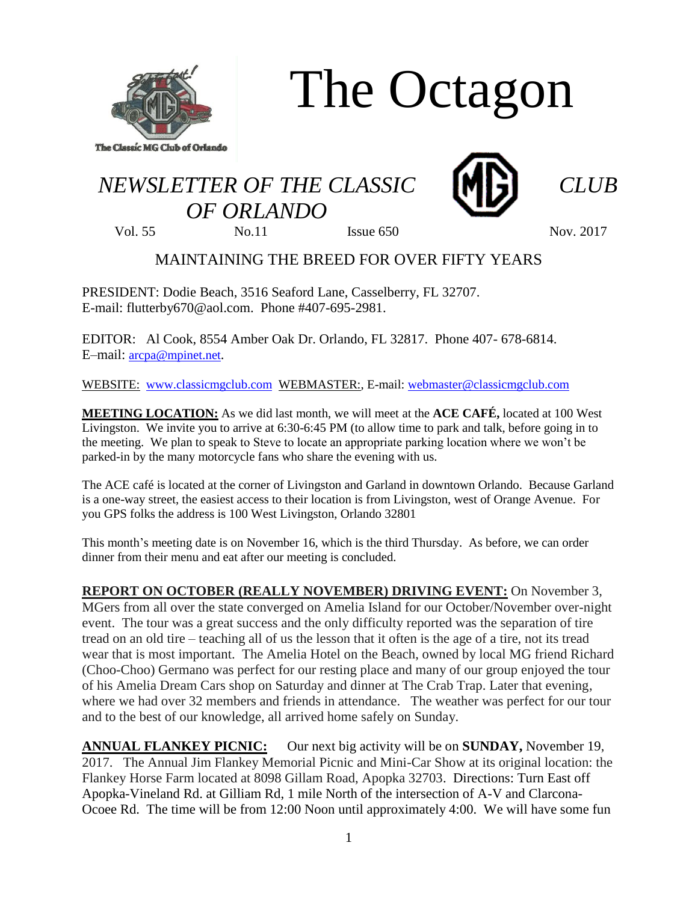

The Octagon

## *NEWSLETTER OF THE CLASSIC CLUB OF ORLANDO*



Vol. 55 No. 11 Issue 650 Nov. 2017

## MAINTAINING THE BREED FOR OVER FIFTY YEARS

PRESIDENT: Dodie Beach, 3516 Seaford Lane, Casselberry, FL 32707. E-mail: flutterby670@aol.com. Phone #407-695-2981.

EDITOR: Al Cook, 8554 Amber Oak Dr. Orlando, FL 32817. Phone 407- 678-6814. E–mail: [arcpa@mpinet.net](mailto:arcpa@mpinet.net).

WEBSITE: [www.classicmgclub.com](http://www.classicmgclub.com/) WEBMASTER:, E-mail[: webmaster@classicmgclub.com](mailto:webmaster@classicmgclub.com)

**MEETING LOCATION:** As we did last month, we will meet at the **ACE CAFÉ,** located at 100 West Livingston. We invite you to arrive at 6:30-6:45 PM (to allow time to park and talk, before going in to the meeting. We plan to speak to Steve to locate an appropriate parking location where we won't be parked-in by the many motorcycle fans who share the evening with us.

The ACE café is located at the corner of Livingston and Garland in downtown Orlando. Because Garland is a one-way street, the easiest access to their location is from Livingston, west of Orange Avenue. For you GPS folks the address is 100 West Livingston, Orlando 32801

This month's meeting date is on November 16, which is the third Thursday. As before, we can order dinner from their menu and eat after our meeting is concluded.

**REPORT ON OCTOBER (REALLY NOVEMBER) DRIVING EVENT:** On November 3, MGers from all over the state converged on Amelia Island for our October/November over-night event. The tour was a great success and the only difficulty reported was the separation of tire tread on an old tire – teaching all of us the lesson that it often is the age of a tire, not its tread wear that is most important. The Amelia Hotel on the Beach, owned by local MG friend Richard (Choo-Choo) Germano was perfect for our resting place and many of our group enjoyed the tour of his Amelia Dream Cars shop on Saturday and dinner at The Crab Trap. Later that evening, where we had over 32 members and friends in attendance. The weather was perfect for our tour and to the best of our knowledge, all arrived home safely on Sunday.

**ANNUAL FLANKEY PICNIC:** Our next big activity will be on **SUNDAY,** November 19, 2017. The Annual Jim Flankey Memorial Picnic and Mini-Car Show at its original location: the Flankey Horse Farm located at 8098 Gillam Road, Apopka 32703. Directions: Turn East off Apopka-Vineland Rd. at Gilliam Rd, 1 mile North of the intersection of A-V and Clarcona-Ocoee Rd. The time will be from 12:00 Noon until approximately 4:00. We will have some fun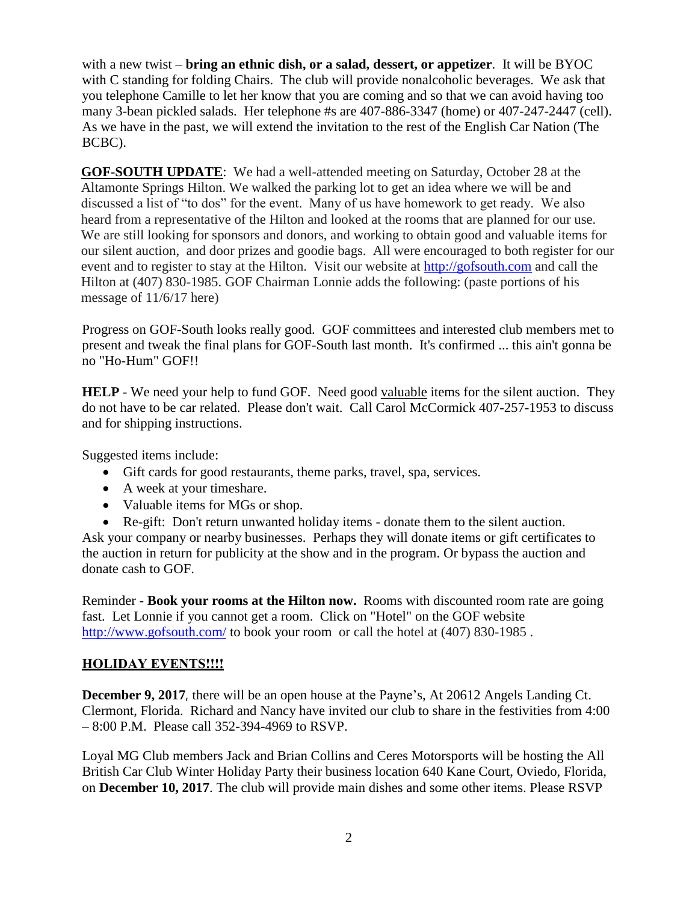with a new twist – **bring an ethnic dish, or a salad, dessert, or appetizer**. It will be BYOC with C standing for folding Chairs. The club will provide nonalcoholic beverages. We ask that you telephone Camille to let her know that you are coming and so that we can avoid having too many 3-bean pickled salads. Her telephone #s are 407-886-3347 (home) or 407-247-2447 (cell). As we have in the past, we will extend the invitation to the rest of the English Car Nation (The BCBC).

**GOF-SOUTH UPDATE**: We had a well-attended meeting on Saturday, October 28 at the Altamonte Springs Hilton. We walked the parking lot to get an idea where we will be and discussed a list of "to dos" for the event. Many of us have homework to get ready. We also heard from a representative of the Hilton and looked at the rooms that are planned for our use. We are still looking for sponsors and donors, and working to obtain good and valuable items for our silent auction, and door prizes and goodie bags. All were encouraged to both register for our event and to register to stay at the Hilton. Visit our website at [http://gofsouth.com](http://gofsouth.com/) and call the Hilton at (407) 830-1985. GOF Chairman Lonnie adds the following: (paste portions of his message of 11/6/17 here)

Progress on GOF-South looks really good. GOF committees and interested club members met to present and tweak the final plans for GOF-South last month. It's confirmed ... this ain't gonna be no "Ho-Hum" GOF!!

**HELP** - We need your help to fund GOF. Need good valuable items for the silent auction. They do not have to be car related. Please don't wait. Call Carol McCormick 407-257-1953 to discuss and for shipping instructions.

Suggested items include:

- Gift cards for good restaurants, theme parks, travel, spa, services.
- A week at your timeshare.
- Valuable items for MGs or shop.
- Re-gift: Don't return unwanted holiday items donate them to the silent auction.

Ask your company or nearby businesses. Perhaps they will donate items or gift certificates to the auction in return for publicity at the show and in the program. Or bypass the auction and donate cash to GOF.

Reminder - **Book your rooms at the Hilton now.** Rooms with discounted room rate are going fast. Let Lonnie if you cannot get a room. Click on "Hotel" on the GOF website <http://www.gofsouth.com/> to book your room or call the hotel at (407) 830-1985.

## **HOLIDAY EVENTS!!!!**

**December 9, 2017**, there will be an open house at the Payne's, At 20612 Angels Landing Ct. Clermont, Florida. Richard and Nancy have invited our club to share in the festivities from 4:00 – 8:00 P.M. Please call 352-394-4969 to RSVP.

Loyal MG Club members Jack and Brian Collins and Ceres Motorsports will be hosting the All British Car Club Winter Holiday Party their business location 640 Kane Court, Oviedo, Florida, on **December 10, 2017**. The club will provide main dishes and some other items. Please RSVP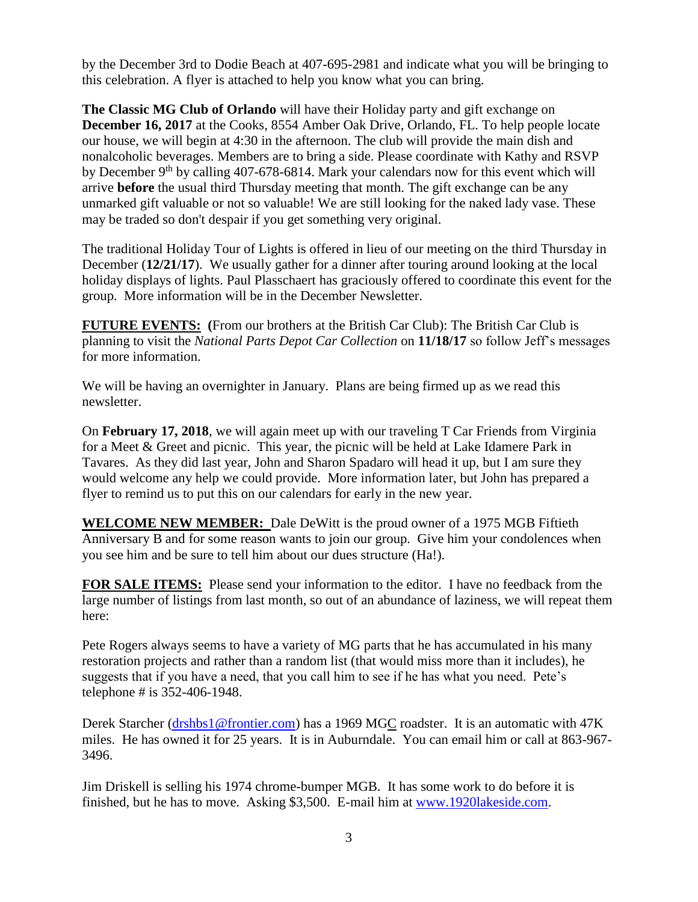by the December 3rd to Dodie Beach at 407-695-2981 and indicate what you will be bringing to this celebration. A flyer is attached to help you know what you can bring.

**The Classic MG Club of Orlando** will have their Holiday party and gift exchange on **December 16, 2017** at the Cooks, 8554 Amber Oak Drive, Orlando, FL. To help people locate our house, we will begin at 4:30 in the afternoon. The club will provide the main dish and nonalcoholic beverages. Members are to bring a side. Please coordinate with Kathy and RSVP by December 9<sup>th</sup> by calling 407-678-6814. Mark your calendars now for this event which will arrive **before** the usual third Thursday meeting that month. The gift exchange can be any unmarked gift valuable or not so valuable! We are still looking for the naked lady vase. These may be traded so don't despair if you get something very original.

The traditional Holiday Tour of Lights is offered in lieu of our meeting on the third Thursday in December (**12/21/17**). We usually gather for a dinner after touring around looking at the local holiday displays of lights. Paul Plasschaert has graciously offered to coordinate this event for the group. More information will be in the December Newsletter.

**FUTURE EVENTS: (**From our brothers at the British Car Club): The British Car Club is planning to visit the *National Parts Depot Car Collection* on **11/18/17** so follow Jeff's messages for more information.

We will be having an overnighter in January. Plans are being firmed up as we read this newsletter.

On **February 17, 2018**, we will again meet up with our traveling T Car Friends from Virginia for a Meet & Greet and picnic. This year, the picnic will be held at Lake Idamere Park in Tavares. As they did last year, John and Sharon Spadaro will head it up, but I am sure they would welcome any help we could provide. More information later, but John has prepared a flyer to remind us to put this on our calendars for early in the new year.

**WELCOME NEW MEMBER:** Dale DeWitt is the proud owner of a 1975 MGB Fiftieth Anniversary B and for some reason wants to join our group. Give him your condolences when you see him and be sure to tell him about our dues structure (Ha!).

**FOR SALE ITEMS:** Please send your information to the editor. I have no feedback from the large number of listings from last month, so out of an abundance of laziness, we will repeat them here:

Pete Rogers always seems to have a variety of MG parts that he has accumulated in his many restoration projects and rather than a random list (that would miss more than it includes), he suggests that if you have a need, that you call him to see if he has what you need. Pete's telephone # is 352-406-1948.

Derek Starcher [\(drshbs1@frontier.com\)](mailto:drshbs1@frontier.com) has a 1969 MGC roadster. It is an automatic with 47K miles. He has owned it for 25 years. It is in Auburndale. You can email him or call at 863-967- 3496.

Jim Driskell is selling his 1974 chrome-bumper MGB. It has some work to do before it is finished, but he has to move. Asking \$3,500. E-mail him at [www.1920lakeside.com.](http://www.1920lakeside.com/)